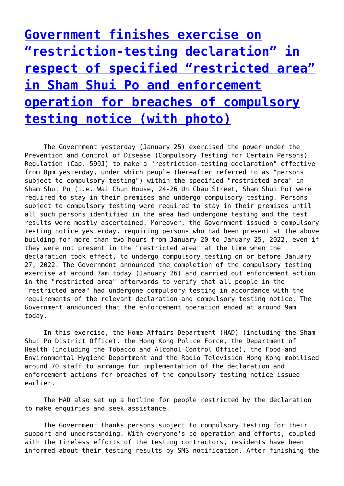**[Government finishes exercise on](http://www.government-world.com/government-finishes-exercise-on-restriction-testing-declaration-in-respect-of-specified-restricted-area-in-sham-shui-po-and-enforcement-operation-for-breaches-of-compulsory-testing-notice-wit-5/) ["restriction-testing declaration" in](http://www.government-world.com/government-finishes-exercise-on-restriction-testing-declaration-in-respect-of-specified-restricted-area-in-sham-shui-po-and-enforcement-operation-for-breaches-of-compulsory-testing-notice-wit-5/) [respect of specified "restricted area"](http://www.government-world.com/government-finishes-exercise-on-restriction-testing-declaration-in-respect-of-specified-restricted-area-in-sham-shui-po-and-enforcement-operation-for-breaches-of-compulsory-testing-notice-wit-5/) [in Sham Shui Po and enforcement](http://www.government-world.com/government-finishes-exercise-on-restriction-testing-declaration-in-respect-of-specified-restricted-area-in-sham-shui-po-and-enforcement-operation-for-breaches-of-compulsory-testing-notice-wit-5/) [operation for breaches of compulsory](http://www.government-world.com/government-finishes-exercise-on-restriction-testing-declaration-in-respect-of-specified-restricted-area-in-sham-shui-po-and-enforcement-operation-for-breaches-of-compulsory-testing-notice-wit-5/) [testing notice \(with photo\)](http://www.government-world.com/government-finishes-exercise-on-restriction-testing-declaration-in-respect-of-specified-restricted-area-in-sham-shui-po-and-enforcement-operation-for-breaches-of-compulsory-testing-notice-wit-5/)**

 The Government yesterday (January 25) exercised the power under the Prevention and Control of Disease (Compulsory Testing for Certain Persons) Regulation (Cap. 599J) to make a "restriction-testing declaration" effective from 8pm yesterday, under which people (hereafter referred to as "persons subject to compulsory testing") within the specified "restricted area" in Sham Shui Po (i.e. Wai Chun House, 24-26 Un Chau Street, Sham Shui Po) were required to stay in their premises and undergo compulsory testing. Persons subject to compulsory testing were required to stay in their premises until all such persons identified in the area had undergone testing and the test results were mostly ascertained. Moreover, the Government issued a compulsory testing notice yesterday, requiring persons who had been present at the above building for more than two hours from January 20 to January 25, 2022, even if they were not present in the "restricted area" at the time when the declaration took effect, to undergo compulsory testing on or before January 27, 2022. The Government announced the completion of the compulsory testing exercise at around 7am today (January 26) and carried out enforcement action in the "restricted area" afterwards to verify that all people in the "restricted area" had undergone compulsory testing in accordance with the requirements of the relevant declaration and compulsory testing notice. The Government announced that the enforcement operation ended at around 9am today.

 In this exercise, the Home Affairs Department (HAD) (including the Sham Shui Po District Office), the Hong Kong Police Force, the Department of Health (including the Tobacco and Alcohol Control Office), the Food and Environmental Hygiene Department and the Radio Television Hong Kong mobilised around 70 staff to arrange for implementation of the declaration and enforcement actions for breaches of the compulsory testing notice issued earlier.

 The HAD also set up a hotline for people restricted by the declaration to make enquiries and seek assistance.

 The Government thanks persons subject to compulsory testing for their support and understanding. With everyone's co-operation and efforts, coupled with the tireless efforts of the testing contractors, residents have been informed about their testing results by SMS notification. After finishing the